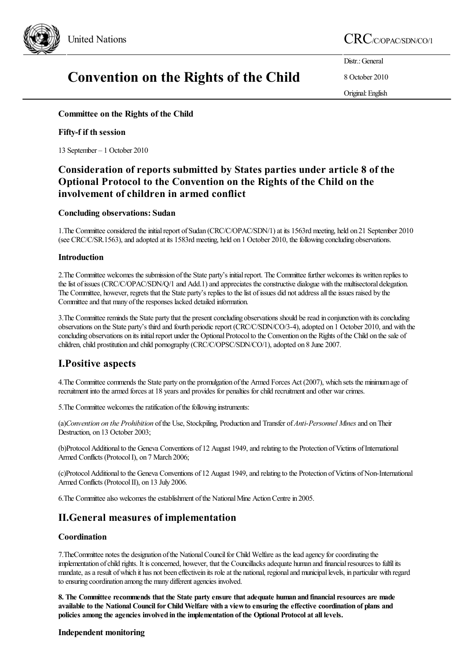

# United Nations CRC/C/OPAC/SDN/CO/1

# Convention on the Rights of the Child

Distr.: General

8 October 2010

Original:English

### Committee on the Rights of the Child

### Fifty-f if th session

13 September – 1 October 2010

# Consideration of reports submitted by States parties under article 8 of the Optional Protocol to the Convention on the Rights of the Child on the involvement of children in armed conflict

#### Concluding observations: Sudan

1. The Committee considered the initial report of Sudan (CRC/C/OPAC/SDN/1) at its 1563rd meeting, held on 21 September 2010 (see CRC/C/SR.1563), and adopted at its 1583rd meeting, held on 1 October 2010, the following concluding observations.

#### Introduction

2. The Committee welcomes the submission of the State party's initial report. The Committee further welcomes its written replies to the list of issues (CRC/C/OPAC/SDN/O/1 and Add.1) and appreciates the constructive dialogue with the multisectoral delegation. The Committee, however, regrets that the State party's replies to the list of issues did not address all the issues raised by the Committee and that many of the responses lacked detailed information.

3. The Committee reminds the State party that the present concluding observations should be read in conjunction with its concluding observations on the State party's third and fourth periodic report (CRC/C/SDN/CO/3-4), adopted on 1 October 2010, and with the concluding observations on its initial report under the Optional Protocol to the Convention on the Rights of the Child on the sale of children, child prostitution and child pornography (CRC/C/OPSC/SDN/CO/1), adopted on 8 June 2007.

# I.Positive aspects

4. The Committee commends the State party on the promulgation of the Armed Forces Act (2007), which sets the minimum age of recruitment into the armed forces at 18 years and provides for penalties for child recruitment and other war crimes.

5. The Committee welcomes the ratification of the following instruments:

(a)*Convention on the Prohibition* ofthe Use, Stockpiling, Production and Transfer of*Anti*-*Personnel Mines*and onTheir Destruction, on 13 October 2003;

(b)Protocol Additional to the Geneva Conventions of 12 August 1949, and relating to the Protection of Victims of International Armed Conflicts (Protocol I), on 7 March 2006;

(c)Protocol Additional to the Geneva Conventions of 12 August 1949, and relating to the Protection of Victims of Non-International Armed Conflicts (Protocol II), on 13 July 2006.

6. The Committee also welcomes the establishment of the National Mine Action Centre in 2005.

### II.General measures of implementation

#### **Coordination**

7. The Committee notes the designation of the National Council for Child Welfare as the lead agency for coordinating the implementation of child rights. It is concerned, however, that the Councillacks adequate human and financial resources to fulfil its mandate, as a result of which it has not been effectivein its role at the national, regional and municipal levels, in particular with regard to ensuring coordination among the many different agencies involved.

8. The Committee recommends that the State party ensure that adequate human and financial resources are made available to the National Council forChildWelfare with a viewto ensuring the effective coordination of plans and policies among the agencies involved in the implementation of the Optional Protocol at all levels.

#### Independent monitoring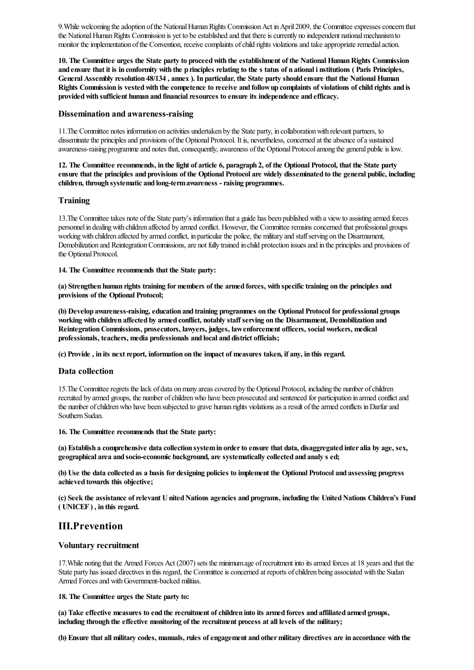9. While welcoming the adoption of the National Human Rights Commission Act in April 2009, the Committee expresses concern that the National Human Rights Commission is yet to be established and that there is currently no independent national mechanism to monitor the implementation of the Convention, receive complaints of child rights violations and take appropriate remedial action.

10. The Committee urges the State party to proceed with the establishment of the National Human Rights Commission and ensure that it is in conformity with the p rinciples relating to the s tatus of n ational i nstitutions ( Paris Principles, General Assembly resolution 48/134, annex ). In particular, the State party should ensure that the National Human Rights Commission is vested with the competence to receive and follow up complaints of violations of child rights and is provided with sufficient human and financial resources to ensure its independence and efficacy.

#### Dissemination and awareness-raising

11.The Committee notes information on activities undertaken by the State party, in collaborationwith relevant partners, to disseminate the principles and provisions of the Optional Protocol. It is, nevertheless, concerned at the absence of a sustained awareness-raising programme and notes that, consequently, awareness of the Optional Protocol among the general public is low.

12. The Committee recommends, in the light of article 6, paragraph 2, of the Optional Protocol, that the State party ensure that the principles and provisions of the Optional Protocol are widely disseminated to the general public, including children, through systematic and long-term awareness - raising programmes.

#### **Training**

13.The Committeetakes note ofthe State party's information thata guide has been published with a viewto assisting armed forces personnel in dealing with children affected by armed conflict. However, the Committee remains concerned that professional groups working with children affected by armed conflict, in particular the police, the military and staff serving on the Disarmament, Demobilization and Reintegration Commissions, are not fully trained in child protection issues and in the principles and provisions of the Optional Protocol.

14. The Committee recommends that the State party:

(a) Strengthen human rights training formembers of the armed forces, with specifictraining on the principles and provisions of the Optional Protocol;

(b) Develop awareness-raising, education and training programmes on the Optional Protocol for professional groups working with children affected by armed conflict, notably staff serving on the Disarmament, Demobilization and ReintegrationCommissions, prosecutors, lawyers, judges, lawenforcement officers, social workers, medical professionals, teachers, media professionals and local and district officials;

(c) Provide, in its next report, information on the impact of measures taken, if any, in this regard.

#### Data collection

15.The Committeeregrets thelack of data onmany areascovered by the OptionalProtocol, including the number ofchildren recruited by armed groups, the number ofchildrenwho have been prosecuted and sentenced for participation in armed conflictand the number of children who have been subjected to grave human rights violations as a result of the armed conflicts in Darfur and Southern Sudan.

16. The Committee recommends that the State party:

(a) Establish a comprehensive data collection systemin orderto ensure that data, disaggregated inter alia by age, sex, geographical area and socio-economic background, are systematically collected and analy s ed;

(b) Use the data collected as a basis for designing policies to implement the Optional Protocol and assessing progress achieved towards this objective;

(c) Seek the assistance of relevant U nited Nations agencies and programs, including the United Nations Children's Fund ( UNICEF ) , in this regard.

# III.Prevention

#### Voluntary recruitment

17.While noting that the Armed Forces Act (2007) sets the minimumage ofrecruitment into itsarmed forcesat 18 yearsand that the State party has issued directives in this regard, the Committee is concerned at reports of children being associated with the Sudan Armed Forces and with Government-backed militias.

#### 18. The Committee urges the State party to:

(a) Take effective measures to end the recruitment of children into its armed forces and affiliated armed groups, including through the effective monitoring of the recruitment process at all levels of the military;

(b) Ensure that all military codes, manuals, rules of engagement and other military directives are in accordance with the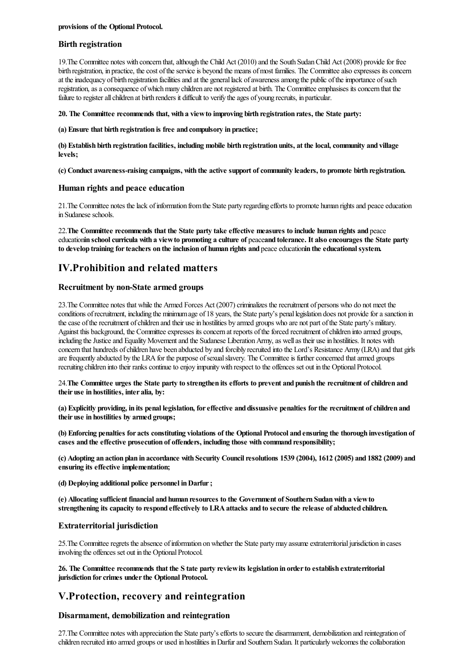### Birth registration

19. The Committee notes with concern that, although the Child Act (2010) and the South Sudan Child Act (2008) provide for free birth registration, in practice, the cost of the service is beyond the means of most families. The Committee also expresses its concern at the inadequacy of birth registration facilities and at the general lack of awareness among the public of the importance of such registration, as a consequence of which many children are not registered at birth. The Committee emphasises its concern that the failure to register all children at birth renders it difficult to verify the ages of young recruits, in particular.

#### 20. The Committee recommends that, with a viewto improving birth registration rates, the State party:

#### (a) Ensure that birth registration is free and compulsory in practice;

(b) Establish birth registration facilities, including mobile birth registration units, at the local,community and village levels;

(c) Conduct awareness-raising campaigns, with the active support of community leaders, to promote birth registration.

#### Human rights and peace education

21. The Committee notes the lack of information from the State party regarding efforts to promote human rights and peace education in Sudanese schools.

22.The Committee recommends that the State party take effective measures to include human rights and peace educationin school curricula with a view to promoting a culture of peaceand tolerance. It also encourages the State party to develop training for teachers on the inclusion of human rights and peace educationin the educational system.

# IV.Prohibition and related matters

#### Recruitment by non-State armed groups

23. The Committee notes that while the Armed Forces Act (2007) criminalizes the recruitment of persons who do not meet the conditions of recruitment, including the minimum age of 18 years, the State party's penal legislation does not provide for a sanction in the case of the recruitment of children and their use in hostilities by armed groups who are not part of the State party's military. Against this background, the Committee expresses its concern at reports of the forced recruitment of children into armed groups, including the Justice and Equality Movement and the Sudanese Liberation Army, as well as their use in hostilities. It notes with concern that hundreds of children have been abducted by and forcibly recruited into the Lord's Resistance Army (LRA) and that girls are frequently abducted by the LRA for the purpose of sexual slavery. The Committee is further concerned that armed groups recruiting children into their ranks continue to enjoy impunity with respect to the offences set out in the Optional Protocol.

24. The Committee urges the State party to strengthen its efforts to prevent and punish the recruitment of children and their use in hostilities, inter alia*,* by:

(a) Explicitly providing, in its penal legislation, for effective and dissuasive penalties for the recruitment of children and their use in hostilities by armed groups;

(b) Enforcing penalties for acts constituting violations of the Optional Protocol and ensuring the thorough investigation of cases and the effective prosecution of offenders, including those with command responsibility;

(c) Adopting an action plan in accordance with Security Councilresolutions 1539 (2004), 1612 (2005) and 1882 (2009) and ensuring its effective implementation;

(d) Deploying additional police personnel in Darfur;

(e) Allocating sufficient financial and human resources to the Government of Southern Sudanwith a viewto strengthening its capacity to respond effectively to LRA attacks and to secure the release of abducted children.

### Extraterritorial jurisdiction

25. The Committee regrets the absence of information on whether the State party may assume extraterritorial jurisdiction in cases involving the offences set out in the Optional Protocol.

26. The Committee recommends that the S tate party review its legislation in order to establish extraterritorial jurisdiction for crimes under the Optional Protocol.

# V.Protection, recovery and reintegration

### Disarmament, demobilization and reintegration

27. The Committee notes with appreciation the State party's efforts to secure the disarmament, demobilization and reintegration of children recruited into armed groups or used in hostilities in Darfur and Southern Sudan. It particularly welcomes the collaboration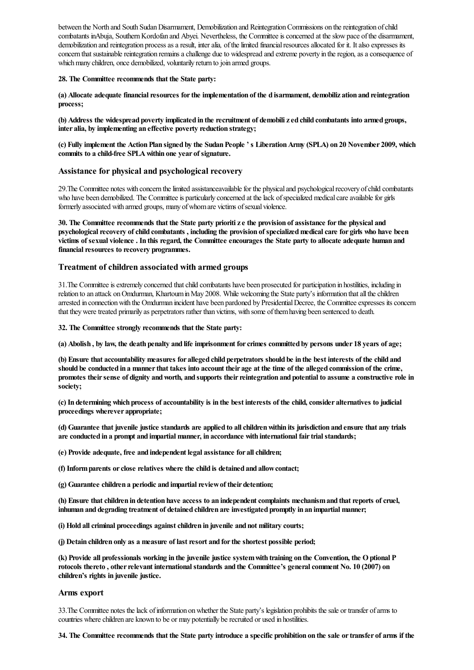between the North and South Sudan Disarmament, Demobilization and Reintegration Commissions on the reintegration of child combatants inAbuja, Southern Kordofan and Abyei. Nevertheless, the Committee is concerned at the slow pace of the disarmament, demobilization and reintegration process as a result, inter alia, of the limited financial resources allocated for it. It also expresses its concern that sustainable reintegration remains a challenge due to widespread and extreme poverty in the region, as a consequence of which many children, once demobilized, voluntarily return to join armed groups.

#### 28. The Committee recommends that the State party:

(a) Allocate adequate financial resources for the implementation of the d isarmament, demobiliz ation and reintegration process;

(b) Address the widespread poverty implicated in the recruitment of demobilized child combatants into armed groups, inter alia, by implementing an effective poverty reduction strategy;

(c) Fully implement the ActionPlan signed by the SudanPeople ' s LiberationArmy (SPLA) on 20 November 2009, which commits to a child-free SPLAwithin one year of signature.

#### Assistance for physical and psychological recovery

29. The Committee notes with concern the limited assistanceavailable for the physical and psychological recovery of child combatants who have been demobilized. The Committee is particularly concerned at the lack of specialized medical care available for girls formerly associated with armed groups, many of whom are victims of sexual violence.

30. The Committee recommends that the State party prioritize the provision of assistance forthe physical and psychological recovery of child combatants, including the provision of specialized medical care for girls who have been victims of sexual violence . In this regard, the Committee encourages the State party to allocate adequate human and financial resources to recovery programmes.

#### Treatment of children associated with armed groups

31. The Committee is extremely concerned that child combatants have been prosecuted for participation in hostilities, including in relation to an attack on Omdurman, Khartoum in May 2008. While welcoming the State party's information that all the children arrested in connection with the Omdurman incident have been pardoned by Presidential Decree, the Committee expresses its concern that they were treated primarily as perpetrators rather than victims, with some of them having been sentenced to death.

32. The Committee strongly recommends that the State party:

(a) Abolish , by law, the death penalty and life imprisonment forcrimes committed by persons under 18 years of age;

(b) Ensure that accountability measures for alleged child perpetrators should be in the best interests of the child and should be conducted in a mannerthat takes into account their age at the time of the alleged commission of the crime, promotes their sense of dignity and worth, and supports their reintegration and potential to assume a constructive role in society;

(c) In determining which process of accountability is in the best interests of the child,consider alternatives to judicial proceedings wherever appropriate;

(d) Guarantee that juvenile justice standards are applied to allchildrenwithin its jurisdiction and ensure that any trials are conducted in a prompt and impartial manner, in accordance with international fair trial standards;

(e) Provide adequate, free and independent legal assistance for all children;

(f) Informparents orclose relatives where the child is detained and allowcontact;

 $(g)$  Guarantee children a periodic and impartial review of their detention:

(h) Ensure that children in detention have access to an independent complaints mechanism and that reports of cruel, inhuman and degrading treatment of detained children are investigated promptly in an impartial manner;

(i) Hold all criminal proceedings against children in juvenile and not military courts;

(j) Detain children only as a measure of lastresort and forthe shortest possible period;

(k) Provide all professionals working in the juvenile justice systemwith training on the Convention, the Optional P rotocols thereto, other relevant international standards and the Committee's general comment No. 10 (2007) on children's rights in juvenile justice.

#### Arms export

33.The Committee notes thelack ofinformation onwhether the State party's legislation prohibits thesale or transfer ofarms to countries where children are known to be or may potentially be recruited or used in hostilities.

34. The Committee recommends that the State party introduce a specific prohibition on the sale ortransfer of arms if the